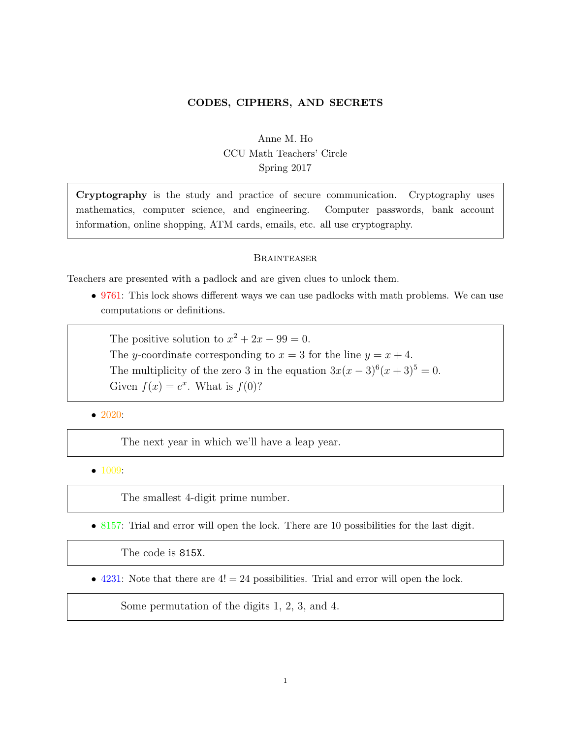## CODES, CIPHERS, AND SECRETS

# Anne M. Ho CCU Math Teachers' Circle Spring 2017

Cryptography is the study and practice of secure communication. Cryptography uses mathematics, computer science, and engineering. Computer passwords, bank account information, online shopping, ATM cards, emails, etc. all use cryptography.

#### **BRAINTEASER**

Teachers are presented with a padlock and are given clues to unlock them.

• 9761: This lock shows different ways we can use padlocks with math problems. We can use computations or definitions.

The positive solution to  $x^2 + 2x - 99 = 0$ . The y-coordinate corresponding to  $x = 3$  for the line  $y = x + 4$ . The multiplicity of the zero 3 in the equation  $3x(x-3)^6(x+3)^5 = 0$ . Given  $f(x) = e^x$ . What is  $f(0)$ ?

• 2020:

The next year in which we'll have a leap year.

• 1009:

The smallest 4-digit prime number.

• 8157: Trial and error will open the lock. There are 10 possibilities for the last digit.

The code is 815X.

• 4231: Note that there are  $4! = 24$  possibilities. Trial and error will open the lock.

Some permutation of the digits 1, 2, 3, and 4.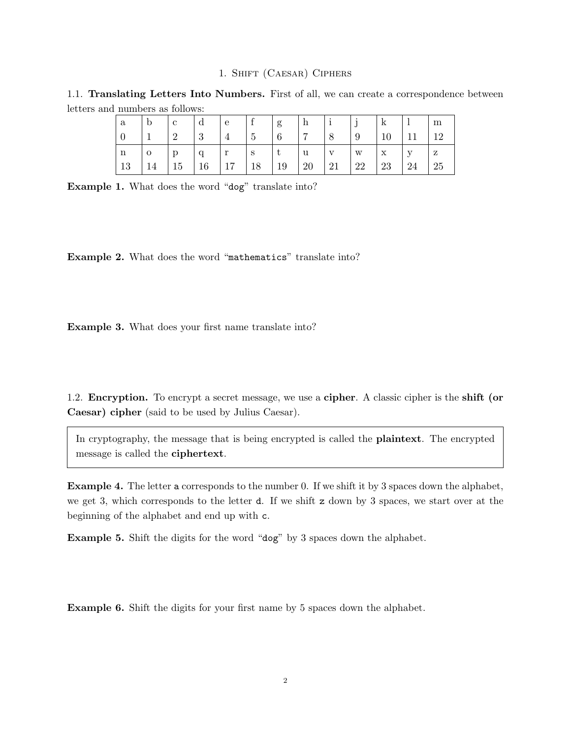## 1. Shift (Caesar) Ciphers

1.1. Translating Letters Into Numbers. First of all, we can create a correspondence between letters and numbers as follows:

| a        | $\mathbf b$    | $\mathbf{c}$ | $\mathbf d$ | $\perp$ e $\perp$  | $\left  \begin{array}{c} f \\ f \end{array} \right  g$ |                                 | h i |              | $\mathbf{1}$ i<br>◡ | k            |              | m  |
|----------|----------------|--------------|-------------|--------------------|--------------------------------------------------------|---------------------------------|-----|--------------|---------------------|--------------|--------------|----|
| $\theta$ |                |              | -3          | $^{\perp}4$        | $\vert 5 \vert$                                        | $\vert 6 \vert$                 |     |              | -9                  | 10           | 11           | 19 |
| n        | $\overline{O}$ | $\Box$       | q           | $r \quad \text{S}$ |                                                        | $\mathbf{u}$<br>$\vert t \vert$ |     | $\mathbf{V}$ | $\mathbf{w}$        | $\mathbf{x}$ | $\mathbf{V}$ | Z  |
| 13       | 14             | $\vert$ 15   | 16          | $17 \t18$          |                                                        | $\mid$ 19                       | 20  | 21           | 22                  | 23           | 24           | 25 |

Example 1. What does the word "dog" translate into?

Example 2. What does the word "mathematics" translate into?

Example 3. What does your first name translate into?

1.2. Encryption. To encrypt a secret message, we use a cipher. A classic cipher is the shift (or Caesar) cipher (said to be used by Julius Caesar).

In cryptography, the message that is being encrypted is called the plaintext. The encrypted message is called the ciphertext.

Example 4. The letter a corresponds to the number 0. If we shift it by 3 spaces down the alphabet, we get 3, which corresponds to the letter d. If we shift z down by 3 spaces, we start over at the beginning of the alphabet and end up with c.

Example 5. Shift the digits for the word "dog" by 3 spaces down the alphabet.

Example 6. Shift the digits for your first name by 5 spaces down the alphabet.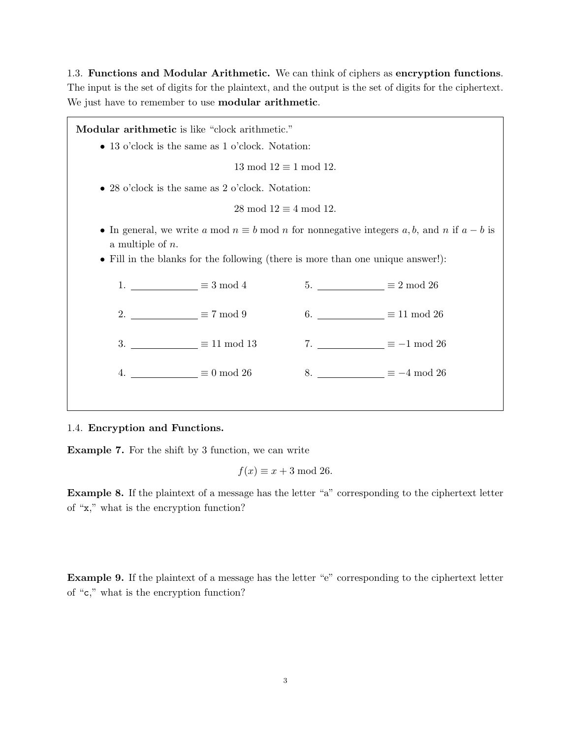1.3. Functions and Modular Arithmetic. We can think of ciphers as encryption functions. The input is the set of digits for the plaintext, and the output is the set of digits for the ciphertext. We just have to remember to use modular arithmetic.

Modular arithmetic is like "clock arithmetic." • 13 o'clock is the same as 1 o'clock. Notation:  $13 \mod 12 \equiv 1 \mod 12$ . • 28 o'clock is the same as 2 o'clock. Notation:  $28 \mod 12 \equiv 4 \mod 12$ . • In general, we write a mod  $n \equiv b \mod n$  for nonnegative integers a, b, and n if  $a - b$  is a multiple of n. • Fill in the blanks for the following (there is more than one unique answer!): 1.  $\equiv 3 \mod 4$ 2.  $\equiv 7 \mod 9$ 3.  $\equiv 11 \mod 13$ 4.  $\equiv 0 \mod 26$ 5.  $\equiv 2 \mod 26$ 6.  $\equiv 11 \mod 26$ 7.  $\equiv -1 \mod 26$ 8.  $\equiv -4 \mod 26$ 

## 1.4. Encryption and Functions.

Example 7. For the shift by 3 function, we can write

 $f(x) \equiv x + 3 \mod 26.$ 

Example 8. If the plaintext of a message has the letter "a" corresponding to the ciphertext letter of "x," what is the encryption function?

Example 9. If the plaintext of a message has the letter "e" corresponding to the ciphertext letter of "c," what is the encryption function?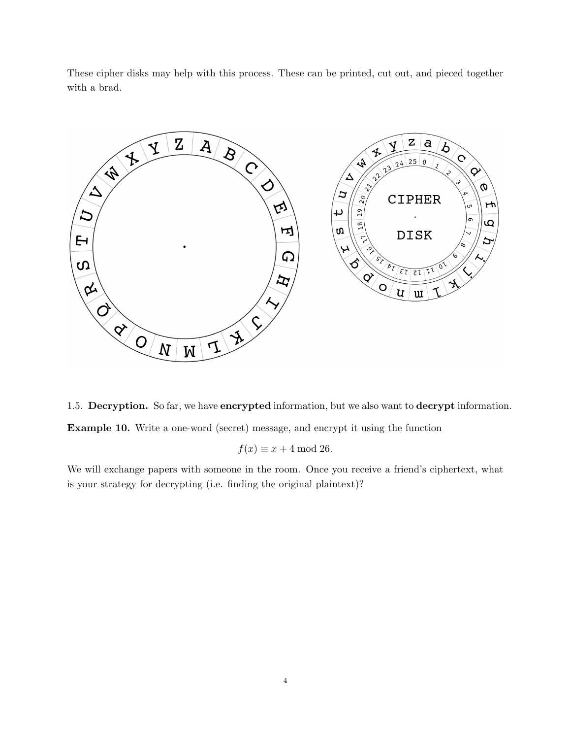These cipher disks may help with this process. These can be printed, cut out, and pieced together with a brad.



1.5. Decryption. So far, we have encrypted information, but we also want to decrypt information. Example 10. Write a one-word (secret) message, and encrypt it using the function

 $f(x) \equiv x + 4 \mod 26.$ 

We will exchange papers with someone in the room. Once you receive a friend's ciphertext, what is your strategy for decrypting (i.e. finding the original plaintext)?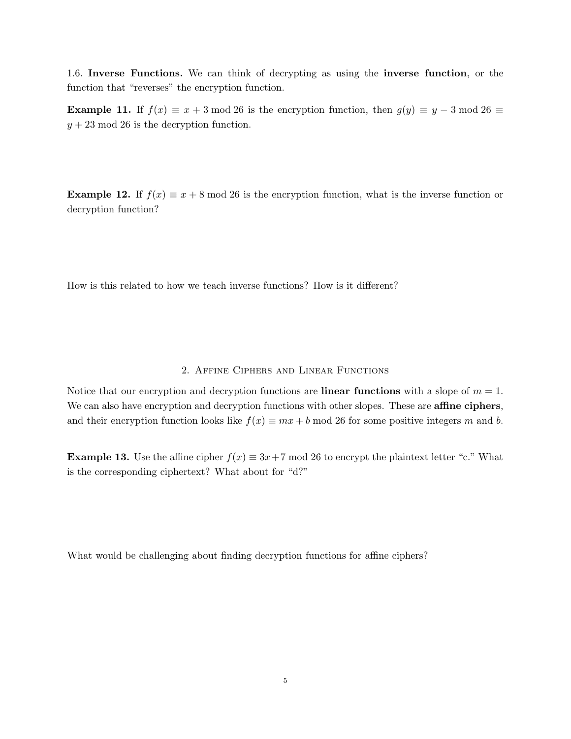1.6. Inverse Functions. We can think of decrypting as using the inverse function, or the function that "reverses" the encryption function.

**Example 11.** If  $f(x) \equiv x + 3 \mod 26$  is the encryption function, then  $g(y) \equiv y - 3 \mod 26 \equiv$  $y + 23 \mod 26$  is the decryption function.

**Example 12.** If  $f(x) \equiv x + 8 \mod 26$  is the encryption function, what is the inverse function or decryption function?

How is this related to how we teach inverse functions? How is it different?

## 2. Affine Ciphers and Linear Functions

Notice that our encryption and decryption functions are **linear functions** with a slope of  $m = 1$ . We can also have encryption and decryption functions with other slopes. These are **affine ciphers**, and their encryption function looks like  $f(x) \equiv mx + b \mod 26$  for some positive integers m and b.

**Example 13.** Use the affine cipher  $f(x) \equiv 3x+7 \pmod{26}$  to encrypt the plaintext letter "c." What is the corresponding ciphertext? What about for "d?"

What would be challenging about finding decryption functions for affine ciphers?